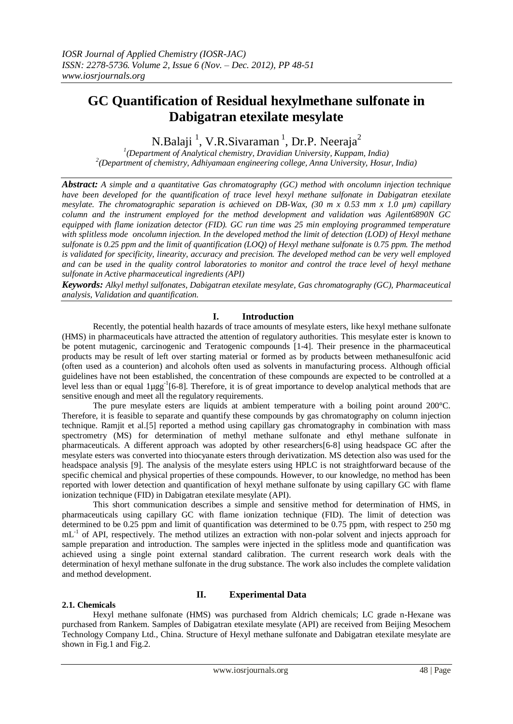# **GC Quantification of Residual hexylmethane sulfonate in Dabigatran etexilate mesylate**

N.Balaji<sup>1</sup>, V.R.Sivaraman<sup>1</sup>, Dr.P. Neeraja<sup>2</sup>

*1 (Department of Analytical chemistry, Dravidian University, Kuppam, India) 2 (Department of chemistry, Adhiyamaan engineering college, Anna University, Hosur, India)*

*Abstract: A simple and a quantitative Gas chromatography (GC) method with oncolumn injection technique have been developed for the quantification of trace level hexyl methane sulfonate in Dabigatran etexilate mesylate. The chromatographic separation is achieved on DB-Wax, (30 m x 0.53 mm x 1.0 µm) capillary column and the instrument employed for the method development and validation was Agilent6890N GC equipped with flame ionization detector (FID). GC run time was 25 min employing programmed temperature with splitless mode oncolumn injection. In the developed method the limit of detection (LOD) of Hexyl methane sulfonate is 0.25 ppm and the limit of quantification (LOQ) of Hexyl methane sulfonate is 0.75 ppm. The method is validated for specificity, linearity, accuracy and precision. The developed method can be very well employed and can be used in the quality control laboratories to monitor and control the trace level of hexyl methane sulfonate in Active pharmaceutical ingredients (API)*

*Keywords: Alkyl methyl sulfonates, Dabigatran etexilate mesylate, Gas chromatography (GC), Pharmaceutical analysis, Validation and quantification.*

#### **I. Introduction**

Recently, the potential health hazards of trace amounts of mesylate esters, like hexyl methane sulfonate (HMS) in pharmaceuticals have attracted the attention of regulatory authorities. This mesylate ester is known to be potent mutagenic, carcinogenic and Teratogenic compounds [1-4]. Their presence in the pharmaceutical products may be result of left over starting material or formed as by products between methanesulfonic acid (often used as a counterion) and alcohols often used as solvents in manufacturing process. Although official guidelines have not been established, the concentration of these compounds are expected to be controlled at a level less than or equal 1µgg<sup>-1</sup>[6-8]. Therefore, it is of great importance to develop analytical methods that are sensitive enough and meet all the regulatory requirements.

The pure mesylate esters are liquids at ambient temperature with a boiling point around 200°C. Therefore, it is feasible to separate and quantify these compounds by gas chromatography on column injection technique. Ramjit et al.[5] reported a method using capillary gas chromatography in combination with mass spectrometry (MS) for determination of methyl methane sulfonate and ethyl methane sulfonate in pharmaceuticals. A different approach was adopted by other researchers[6-8] using headspace GC after the mesylate esters was converted into thiocyanate esters through derivatization. MS detection also was used for the headspace analysis [9]. The analysis of the mesylate esters using HPLC is not straightforward because of the specific chemical and physical properties of these compounds. However, to our knowledge, no method has been reported with lower detection and quantification of hexyl methane sulfonate by using capillary GC with flame ionization technique (FID) in Dabigatran etexilate mesylate (API).

This short communication describes a simple and sensitive method for determination of HMS, in pharmaceuticals using capillary GC with flame ionization technique (FID). The limit of detection was determined to be 0.25 ppm and limit of quantification was determined to be 0.75 ppm, with respect to 250 mg mL<sup>-1</sup> of API, respectively. The method utilizes an extraction with non-polar solvent and injects approach for sample preparation and introduction. The samples were injected in the splitless mode and quantification was achieved using a single point external standard calibration. The current research work deals with the determination of hexyl methane sulfonate in the drug substance. The work also includes the complete validation and method development.

#### **2.1. Chemicals**

### **II. Experimental Data**

Hexyl methane sulfonate (HMS) was purchased from Aldrich chemicals; LC grade n-Hexane was purchased from Rankem. Samples of Dabigatran etexilate mesylate (API) are received from Beijing Mesochem Technology Company Ltd., China. Structure of Hexyl methane sulfonate and Dabigatran etexilate mesylate are shown in Fig.1 and Fig.2.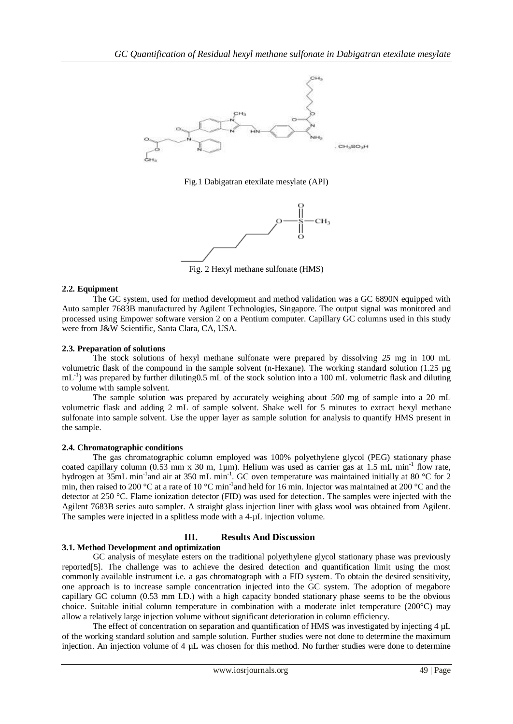

Fig.1 Dabigatran etexilate mesylate (API)



Fig. 2 Hexyl methane sulfonate (HMS)

### **2.2. Equipment**

The GC system, used for method development and method validation was a GC 6890N equipped with Auto sampler 7683B manufactured by Agilent Technologies, Singapore. The output signal was monitored and processed using Empower software version 2 on a Pentium computer. Capillary GC columns used in this study were from J&W Scientific, Santa Clara, CA, USA.

### **2.3. Preparation of solutions**

The stock solutions of hexyl methane sulfonate were prepared by dissolving *25* mg in 100 mL volumetric flask of the compound in the sample solvent (n-Hexane). The working standard solution (1.25 µg mL<sup>-1</sup>) was prepared by further diluting0.5 mL of the stock solution into a 100 mL volumetric flask and diluting to volume with sample solvent.

The sample solution was prepared by accurately weighing about *500* mg of sample into a 20 mL volumetric flask and adding 2 mL of sample solvent. Shake well for 5 minutes to extract hexyl methane sulfonate into sample solvent. Use the upper layer as sample solution for analysis to quantify HMS present in the sample.

### **2.4. Chromatographic conditions**

The gas chromatographic column employed was 100% polyethylene glycol (PEG) stationary phase coated capillary column (0.53 mm x 30 m, 1µm). Helium was used as carrier gas at 1.5 mL min<sup>-1</sup> flow rate, hydrogen at 35mL min<sup>-1</sup>and air at 350 mL min<sup>-1</sup>. GC oven temperature was maintained initially at 80 °C for 2 min, then raised to 200 °C at a rate of 10 °C min<sup>-1</sup> and held for 16 min. Injector was maintained at 200 °C and the detector at 250 °C. Flame ionization detector (FID) was used for detection. The samples were injected with the Agilent 7683B series auto sampler. A straight glass injection liner with glass wool was obtained from Agilent. The samples were injected in a splitless mode with a 4-µL injection volume.

# **III. Results And Discussion**

# **3.1. Method Development and optimization**

GC analysis of mesylate esters on the traditional polyethylene glycol stationary phase was previously reported[5]. The challenge was to achieve the desired detection and quantification limit using the most commonly available instrument i.e. a gas chromatograph with a FID system. To obtain the desired sensitivity, one approach is to increase sample concentration injected into the GC system. The adoption of megabore capillary GC column (0.53 mm I.D.) with a high capacity bonded stationary phase seems to be the obvious choice. Suitable initial column temperature in combination with a moderate inlet temperature (200°C) may allow a relatively large injection volume without significant deterioration in column efficiency.

The effect of concentration on separation and quantification of HMS was investigated by injecting 4 µL of the working standard solution and sample solution. Further studies were not done to determine the maximum injection. An injection volume of 4 µL was chosen for this method. No further studies were done to determine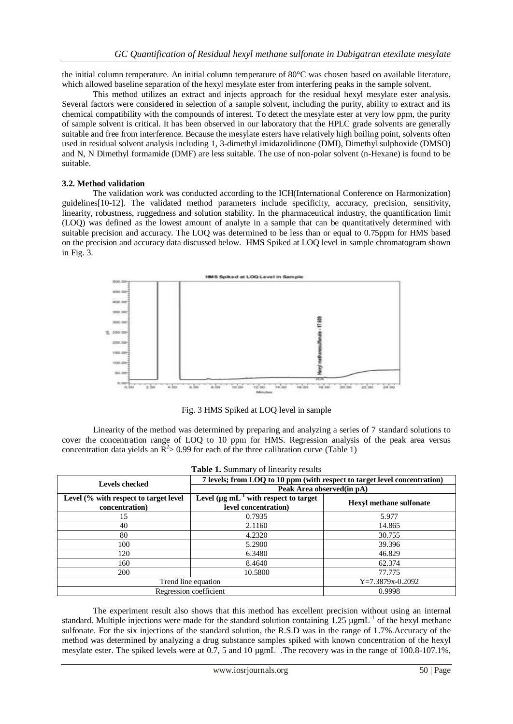the initial column temperature. An initial column temperature of 80°C was chosen based on available literature, which allowed baseline separation of the hexyl mesylate ester from interfering peaks in the sample solvent.

This method utilizes an extract and injects approach for the residual hexyl mesylate ester analysis. Several factors were considered in selection of a sample solvent, including the purity, ability to extract and its chemical compatibility with the compounds of interest. To detect the mesylate ester at very low ppm, the purity of sample solvent is critical. It has been observed in our laboratory that the HPLC grade solvents are generally suitable and free from interference. Because the mesylate esters have relatively high boiling point, solvents often used in residual solvent analysis including 1, 3-dimethyl imidazolidinone (DMI), Dimethyl sulphoxide (DMSO) and N, N Dimethyl formamide (DMF) are less suitable. The use of non-polar solvent (n-Hexane) is found to be suitable.

#### **3.2. Method validation**

The validation work was conducted according to the ICH(International Conference on Harmonization) guidelines[10-12]. The validated method parameters include specificity, accuracy, precision, sensitivity, linearity, robustness, ruggedness and solution stability. In the pharmaceutical industry, the quantification limit (LOQ) was defined as the lowest amount of analyte in a sample that can be quantitatively determined with suitable precision and accuracy. The LOQ was determined to be less than or equal to 0.75ppm for HMS based on the precision and accuracy data discussed below. HMS Spiked at LOQ level in sample chromatogram shown in Fig. 3.



Fig. 3 HMS Spiked at LOQ level in sample

Linearity of the method was determined by preparing and analyzing a series of 7 standard solutions to cover the concentration range of LOQ to 10 ppm for HMS. Regression analysis of the peak area versus concentration data yields an  $\overline{R}^2 > 0.99$  for each of the three calibration curve (Table 1)

| <b>Table 1.</b> Summary of linearity results            |                                                                           |                                |
|---------------------------------------------------------|---------------------------------------------------------------------------|--------------------------------|
| <b>Levels checked</b>                                   | 7 levels; from LOQ to 10 ppm (with respect to target level concentration) |                                |
|                                                         | Peak Area observed (in pA)                                                |                                |
| Level (% with respect to target level<br>concentration) | Level $(\mu g \, mL^{-1}$ with respect to target<br>level concentration)  | <b>Hexyl methane sulfonate</b> |
| 15                                                      | 0.7935                                                                    | 5.977                          |
| 40                                                      | 2.1160                                                                    | 14.865                         |
| 80                                                      | 4.2320                                                                    | 30.755                         |
| 100                                                     | 5.2900                                                                    | 39.396                         |
| 120                                                     | 6.3480                                                                    | 46.829                         |
| 160                                                     | 8.4640                                                                    | 62.374                         |
| 200                                                     | 10.5800                                                                   | 77.775                         |
| Trend line equation                                     |                                                                           | $Y=7.3879x-0.2092$             |
| Regression coefficient                                  |                                                                           | 0.9998                         |

The experiment result also shows that this method has excellent precision without using an internal standard. Multiple injections were made for the standard solution containing  $1.25 \text{ µgm}L^{-1}$  of the hexyl methane sulfonate. For the six injections of the standard solution, the R.S.D was in the range of 1.7%.Accuracy of the method was determined by analyzing a drug substance samples spiked with known concentration of the hexyl mesylate ester. The spiked levels were at 0.7, 5 and 10  $\mu$ gmL<sup>-1</sup>. The recovery was in the range of 100.8-107.1%,